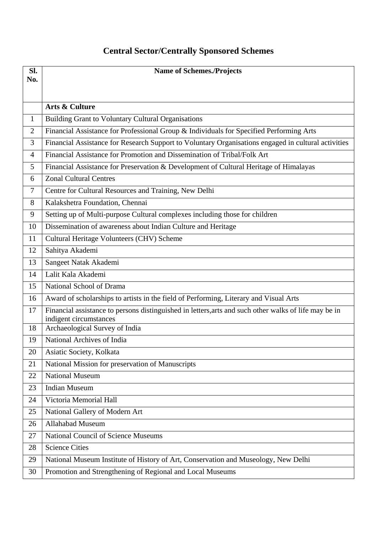## **Central Sector/Centrally Sponsored Schemes**

| SI.          | <b>Name of Schemes./Projects</b>                                                                                                |
|--------------|---------------------------------------------------------------------------------------------------------------------------------|
| No.          |                                                                                                                                 |
|              |                                                                                                                                 |
|              | Arts & Culture                                                                                                                  |
| $\mathbf{1}$ | <b>Building Grant to Voluntary Cultural Organisations</b>                                                                       |
| 2            | Financial Assistance for Professional Group & Individuals for Specified Performing Arts                                         |
| 3            | Financial Assistance for Research Support to Voluntary Organisations engaged in cultural activities                             |
| 4            | Financial Assistance for Promotion and Dissemination of Tribal/Folk Art                                                         |
| 5            | Financial Assistance for Preservation & Development of Cultural Heritage of Himalayas                                           |
| 6            | <b>Zonal Cultural Centres</b>                                                                                                   |
| 7            | Centre for Cultural Resources and Training, New Delhi                                                                           |
| 8            | Kalakshetra Foundation, Chennai                                                                                                 |
| 9            | Setting up of Multi-purpose Cultural complexes including those for children                                                     |
| 10           | Dissemination of awareness about Indian Culture and Heritage                                                                    |
| 11           | Cultural Heritage Volunteers (CHV) Scheme                                                                                       |
| 12           | Sahitya Akademi                                                                                                                 |
| 13           | Sangeet Natak Akademi                                                                                                           |
| 14           | Lalit Kala Akademi                                                                                                              |
| 15           | National School of Drama                                                                                                        |
| 16           | Award of scholarships to artists in the field of Performing, Literary and Visual Arts                                           |
| 17           | Financial assistance to persons distinguished in letters, arts and such other walks of life may be in<br>indigent circumstances |
| 18           | Archaeological Survey of India                                                                                                  |
| 19           | National Archives of India                                                                                                      |
| 20           | Asiatic Society, Kolkata                                                                                                        |
| 21           | National Mission for preservation of Manuscripts                                                                                |
| 22           | <b>National Museum</b>                                                                                                          |
| 23           | <b>Indian Museum</b>                                                                                                            |
| 24           | Victoria Memorial Hall                                                                                                          |
| 25           | National Gallery of Modern Art                                                                                                  |
| 26           | <b>Allahabad Museum</b>                                                                                                         |
| 27           | <b>National Council of Science Museums</b>                                                                                      |
| 28           | <b>Science Cities</b>                                                                                                           |
| 29           | National Museum Institute of History of Art, Conservation and Museology, New Delhi                                              |
| 30           | Promotion and Strengthening of Regional and Local Museums                                                                       |